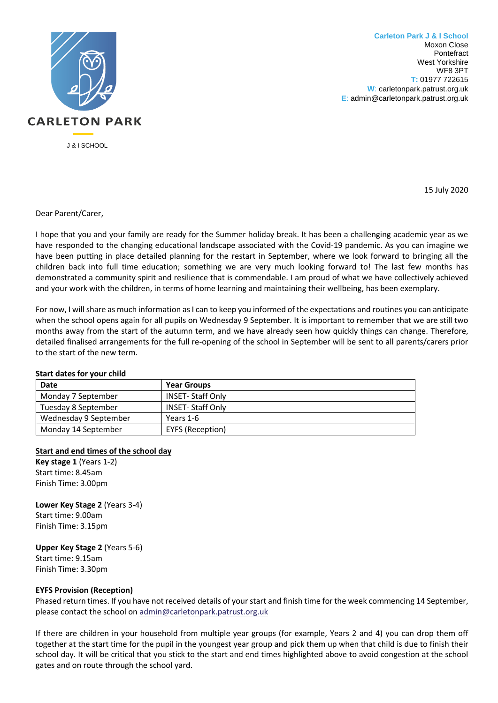

**Carleton Park J & I School** Moxon Close Pontefract West Yorkshire WF8 3PT **T:** 01977 722615 **W**: carletonpark.patrust.org.uk **E**: admin@carletonpark.patrust.org.uk

15 July 2020

Dear Parent/Carer,

I hope that you and your family are ready for the Summer holiday break. It has been a challenging academic year as we have responded to the changing educational landscape associated with the Covid-19 pandemic. As you can imagine we have been putting in place detailed planning for the restart in September, where we look forward to bringing all the children back into full time education; something we are very much looking forward to! The last few months has demonstrated a community spirit and resilience that is commendable. I am proud of what we have collectively achieved and your work with the children, in terms of home learning and maintaining their wellbeing, has been exemplary.

For now, I will share as much information as I can to keep you informed of the expectations and routines you can anticipate when the school opens again for all pupils on Wednesday 9 September. It is important to remember that we are still two months away from the start of the autumn term, and we have already seen how quickly things can change. Therefore, detailed finalised arrangements for the full re-opening of the school in September will be sent to all parents/carers prior to the start of the new term.

#### **Start dates for your child**

| <b>Date</b>           | <b>Year Groups</b>      |
|-----------------------|-------------------------|
| Monday 7 September    | <b>INSET-Staff Only</b> |
| Tuesday 8 September   | <b>INSET-Staff Only</b> |
| Wednesday 9 September | Years 1-6               |
| Monday 14 September   | <b>EYFS (Reception)</b> |

# **Start and end times of the school day**

**Key stage 1** (Years 1-2) Start time: 8.45am Finish Time: 3.00pm

**Lower Key Stage 2** (Years 3-4) Start time: 9.00am Finish Time: 3.15pm

**Upper Key Stage 2** (Years 5-6) Start time: 9.15am Finish Time: 3.30pm

# **EYFS Provision (Reception)**

Phased return times. If you have not received details of your start and finish time for the week commencing 14 September, please contact the school on [admin@carletonpark.patrust.org.uk](mailto:admin@carletonpark.patrust.org.uk)

If there are children in your household from multiple year groups (for example, Years 2 and 4) you can drop them off together at the start time for the pupil in the youngest year group and pick them up when that child is due to finish their school day. It will be critical that you stick to the start and end times highlighted above to avoid congestion at the school gates and on route through the school yard.